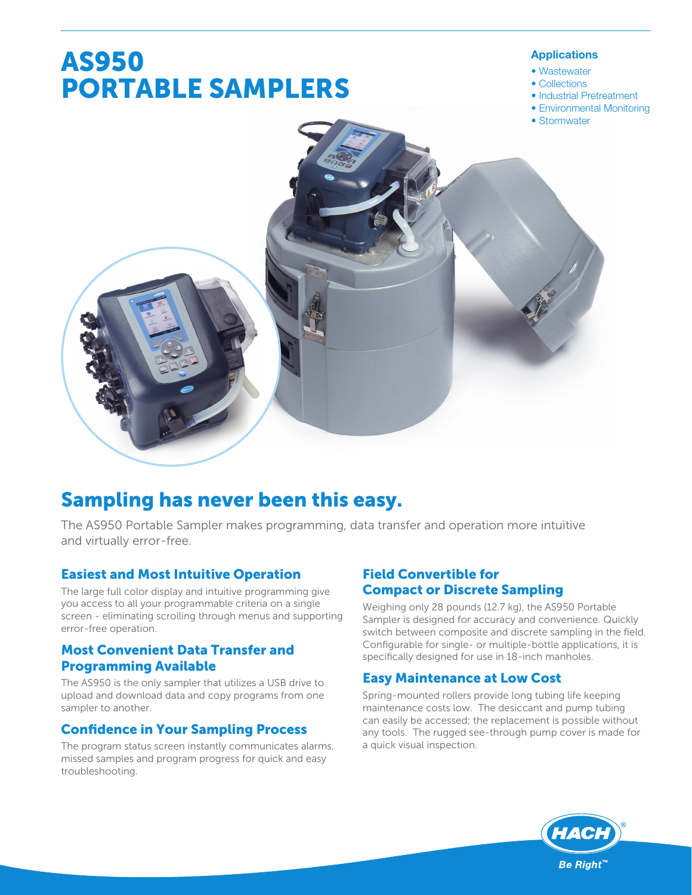# **AS950 PORTABLE SAMPLERS**

#### Applications

- Wastewater
- Collections
- Industrial Pretreatment
- Environmental Monitoring
- $\bullet$  Stormwater



## **Sampling has never been this easy.**

The AS950 Portable Sampler makes programming, data transfer and operation more intuitive and virtually error-free.

## **Easiest and Most Intuitive Operation**

The large full color display and intuitive programming give you access to all your programmable criteria on a single screen - eliminating scrolling through menus and supporting error-free operation.

## **Most Convenient Data Transfer and Programming Available**

The AS950 is the only sampler that utilizes a USB drive to upload and download data and copy programs from one sampler to another.

## **Confidence in Your Sampling Process**

The program status screen instantly communicates alarms, missed samples and program progress for quick and easy troubleshooting.

## **Field Convertible for Compact or Discrete Sampling**

Weighing only 28 pounds (12.7 kg), the AS950 Portable Sampler is designed for accuracy and convenience. Quickly switch between composite and discrete sampling in the field. Configurable for single- or multiple-bottle applications, it is specifically designed for use in 18-inch manholes.

## **Easy Maintenance at Low Cost**

Spring-mounted rollers provide long tubing life keeping maintenance costs low. The desiccant and pump tubing can easily be accessed; the replacement is possible without any tools. The rugged see-through pump cover is made for a quick visual inspection.

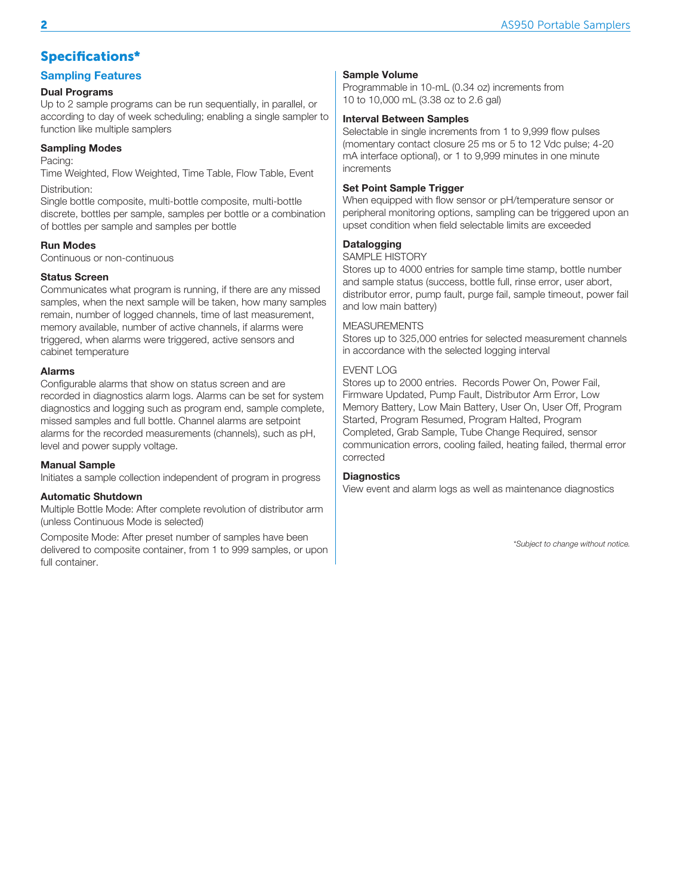## **Specifications\***

#### Sampling Features

#### Dual Programs

Up to 2 sample programs can be run sequentially, in parallel, or according to day of week scheduling; enabling a single sampler to function like multiple samplers

#### Sampling Modes

Pacing:

Time Weighted, Flow Weighted, Time Table, Flow Table, Event Distribution:

Single bottle composite, multi-bottle composite, multi-bottle discrete, bottles per sample, samples per bottle or a combination of bottles per sample and samples per bottle

#### Run Modes

Continuous or non-continuous

#### Status Screen

Communicates what program is running, if there are any missed samples, when the next sample will be taken, how many samples remain, number of logged channels, time of last measurement, memory available, number of active channels, if alarms were triggered, when alarms were triggered, active sensors and cabinet temperature

#### Alarms

Configurable alarms that show on status screen and are recorded in diagnostics alarm logs. Alarms can be set for system diagnostics and logging such as program end, sample complete, missed samples and full bottle. Channel alarms are setpoint alarms for the recorded measurements (channels), such as pH, level and power supply voltage.

#### Manual Sample

Initiates a sample collection independent of program in progress

#### Automatic Shutdown

Multiple Bottle Mode: After complete revolution of distributor arm (unless Continuous Mode is selected)

Composite Mode: After preset number of samples have been delivered to composite container, from 1 to 999 samples, or upon full container.

#### Sample Volume

Programmable in 10-mL (0.34 oz) increments from 10 to 10,000 mL (3.38 oz to 2.6 gal)

#### Interval Between Samples

Selectable in single increments from 1 to 9,999 flow pulses (momentary contact closure 25 ms or 5 to 12 Vdc pulse; 4-20 mA interface optional), or 1 to 9,999 minutes in one minute increments

#### Set Point Sample Trigger

When equipped with flow sensor or pH/temperature sensor or peripheral monitoring options, sampling can be triggered upon an upset condition when field selectable limits are exceeded

#### **Datalogging**

#### SAMPLE HISTORY

Stores up to 4000 entries for sample time stamp, bottle number and sample status (success, bottle full, rinse error, user abort, distributor error, pump fault, purge fail, sample timeout, power fail and low main battery)

#### MFASURFMENTS

Stores up to 325,000 entries for selected measurement channels in accordance with the selected logging interval

#### FVFNT I OG

Stores up to 2000 entries. Records Power On, Power Fail, Firmware Updated, Pump Fault, Distributor Arm Error, Low Memory Battery, Low Main Battery, User On, User Off, Program Started, Program Resumed, Program Halted, Program Completed, Grab Sample, Tube Change Required, sensor communication errors, cooling failed, heating failed, thermal error corrected

#### **Diagnostics**

View event and alarm logs as well as maintenance diagnostics

\*Subject to change without notice.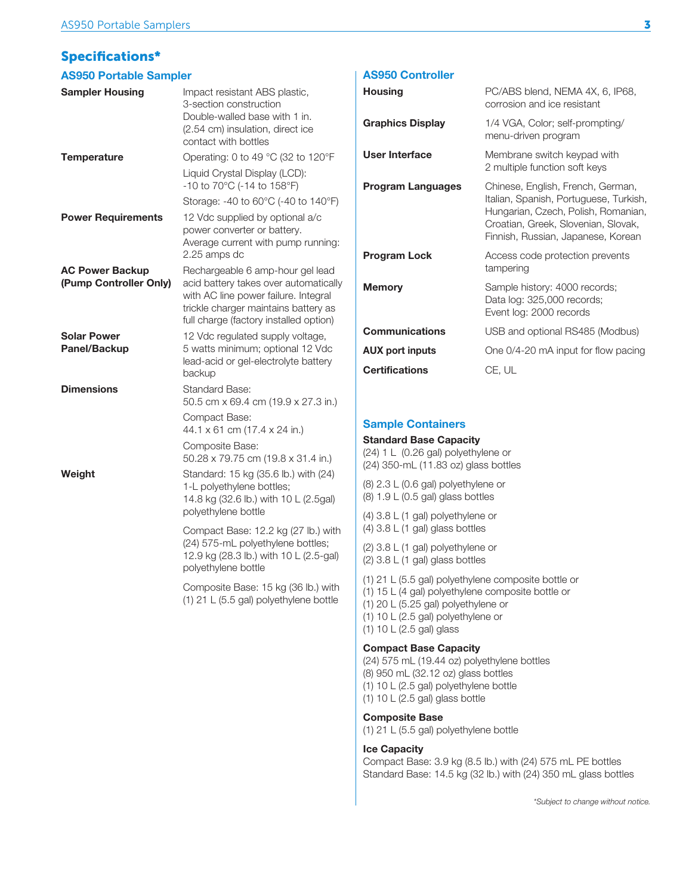## **Specifications\***

#### AS950 Portable Sampler

| <b>Sampler Housing</b>                           | Impact resistant ABS plastic,<br>3-section construction<br>Double-walled base with 1 in.<br>(2.54 cm) insulation, direct ice<br>contact with bottles                                                |
|--------------------------------------------------|-----------------------------------------------------------------------------------------------------------------------------------------------------------------------------------------------------|
| <b>Temperature</b>                               | Operating: 0 to 49 °C (32 to 120°F                                                                                                                                                                  |
|                                                  | Liquid Crystal Display (LCD):<br>-10 to 70°C (-14 to 158°F)                                                                                                                                         |
|                                                  | Storage: -40 to 60°C (-40 to 140°F)                                                                                                                                                                 |
| <b>Power Requirements</b>                        | 12 Vdc supplied by optional a/c<br>power converter or battery.<br>Average current with pump running:<br>2.25 amps dc                                                                                |
| <b>AC Power Backup</b><br>(Pump Controller Only) | Rechargeable 6 amp-hour gel lead<br>acid battery takes over automatically<br>with AC line power failure. Integral<br>trickle charger maintains battery as<br>full charge (factory installed option) |
| <b>Solar Power</b><br>Panel/Backup               | 12 Vdc regulated supply voltage,<br>5 watts minimum; optional 12 Vdc<br>lead-acid or gel-electrolyte battery<br>backup                                                                              |
| <b>Dimensions</b>                                | <b>Standard Base:</b><br>50.5 cm x 69.4 cm (19.9 x 27.3 in.)                                                                                                                                        |
|                                                  | Compact Base:<br>44.1 x 61 cm (17.4 x 24 in.)                                                                                                                                                       |
|                                                  | Composite Base:<br>50.28 x 79.75 cm (19.8 x 31.4 in.)                                                                                                                                               |
| Weight                                           | Standard: 15 kg (35.6 lb.) with (24)<br>1-L polyethylene bottles;<br>14.8 kg (32.6 lb.) with 10 L (2.5gal)<br>polyethylene bottle                                                                   |
|                                                  | Compact Base: 12.2 kg (27 lb.) with<br>(24) 575-mL polyethylene bottles;<br>12.9 kg (28.3 lb.) with 10 L (2.5-gal)<br>polyethylene bottle                                                           |
|                                                  | Composite Base: 15 kg (36 lb.) with<br>(1) 21 L (5.5 gal) polyethylene bottle                                                                                                                       |
|                                                  |                                                                                                                                                                                                     |

#### AS950 Controller

| <b>Housing</b>          | PC/ABS blend, NEMA 4X, 6, IP68,<br>corrosion and ice resistant                                                                                                                                  |
|-------------------------|-------------------------------------------------------------------------------------------------------------------------------------------------------------------------------------------------|
| <b>Graphics Display</b> | 1/4 VGA, Color; self-prompting/<br>menu-driven program                                                                                                                                          |
| User Interface          | Membrane switch keypad with<br>2 multiple function soft keys                                                                                                                                    |
| Program Languages       | Chinese, English, French, German,<br>Italian, Spanish, Portuguese, Turkish,<br>Hungarian, Czech, Polish, Romanian,<br>Croatian, Greek, Slovenian, Slovak,<br>Finnish, Russian, Japanese, Korean |
| <b>Program Lock</b>     | Access code protection prevents<br>tampering                                                                                                                                                    |
| <b>Memory</b>           | Sample history: 4000 records;<br>Data log: 325,000 records;<br>Event log: 2000 records                                                                                                          |
| <b>Communications</b>   | USB and optional RS485 (Modbus)                                                                                                                                                                 |
| AUX port inputs         | One 0/4-20 mA input for flow pacing                                                                                                                                                             |
| <b>Certifications</b>   | CE, UL                                                                                                                                                                                          |

#### Sample Containers

#### Standard Base Capacity

(24)  $1 \text{ L}$  (0.26 gal) polyethylene or  $(24)$  350-mL  $(11.83$  oz) glass bottles

(8)  $2.3$  L (0.6 gal) polyethylene or  $(8)$  1.9 L $(0.5$  gal) glass bottles

(4)  $3.8$  L (1 gal) polyethylene or (4)  $3.8$  L (1 gal) glass bottles

(2)  $3.8$  L (1 gal) polyethylene or  $(2)$  3.8 L  $(1)$  gal) glass bottles

(1) 21 L (5.5 gal) polyethylene composite bottle or

- (1) 15 L (4 gal) polyethylene composite bottle or
- (1) 20 L (5.25 gal) polyethylene or
- (1) 10 L (2.5 gal) polyethylene or

 $(1)$  10 L $(2.5$  gal) glass

#### Compact Base Capacity

(24) 575 mL (19.44 oz) polyethylene bottles  $(8)$  950 mL  $(32.12$  oz) glass bottles (1)  $10 \text{ L}$  (2.5 gal) polyethylene bottle (1)  $10 L (2.5 gal)$  glass bottle

#### Composite Base

(1) 21 L (5.5 gal) polyethylene bottle

#### Ice Capacity

Compact Base: 3.9 kg (8.5 lb.) with (24) 575 mL PE bottles Standard Base: 14.5 kg (32 lb.) with (24) 350 mL glass bottles

\*Subject to change without notice.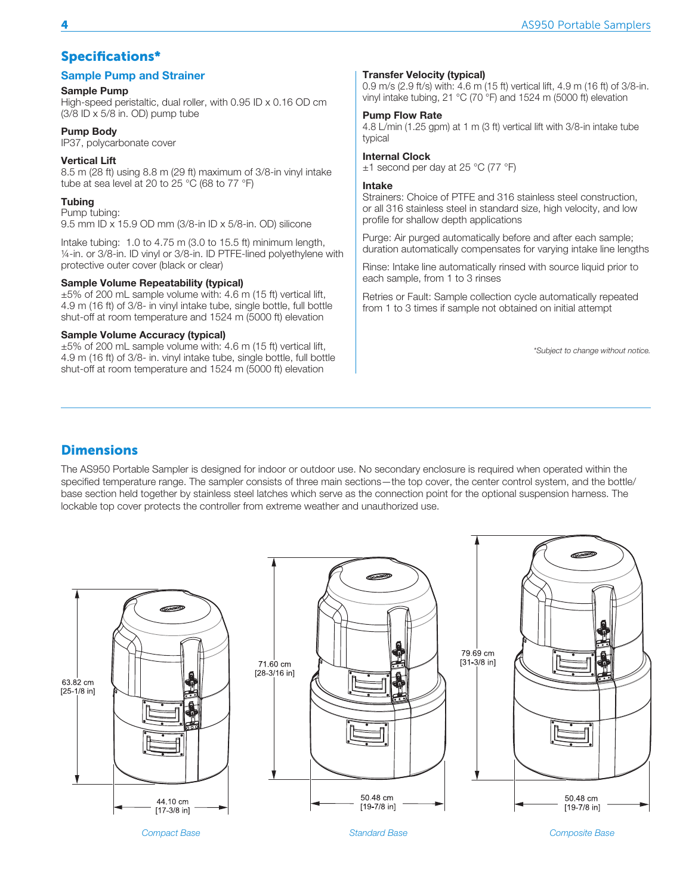## **Specifications\***

#### Sample Pump and Strainer

#### Sample Pump

High-speed peristaltic, dual roller, with  $0.95$  ID  $\times$  0.16 OD cm  $(3/8$  ID x 5/8 in. OD) pump tube

#### Pump Body

IP37, polycarbonate cover

#### Vertical Lift

8.5 m (28 ft) using 8.8 m (29 ft) maximum of 3/8-in vinyl intake tube at sea level at 20 to 25 °C (68 to 77 °F)

#### **Tubing**

Pump tubing:  $9.5$  mm ID x 15.9 OD mm (3/8-in ID x 5/8-in. OD) silicone

Intake tubing:  $1.0$  to  $4.75$  m (3.0 to  $15.5$  ft) minimum length, 1/4-in. or 3/8-in. ID vinyl or 3/8-in. ID PTFE-lined polyethylene with protective outer cover (black or clear)

#### Sample Volume Repeatability (typical)

 $\pm 5\%$  of 200 mL sample volume with: 4.6 m (15 ft) vertical lift, 4.9 m (16 ft) of 3/8- in vinyl intake tube, single bottle, full bottle shut-off at room temperature and  $1524$  m (5000 ft) elevation

#### Sample Volume Accuracy (typical)

 $±5\%$  of 200 mL sample volume with: 4.6 m (15 ft) vertical lift, 4.9 m (16 ft) of 3/8- in. vinyl intake tube, single bottle, full bottle shut-off at room temperature and 1524 m (5000 ft) elevation

#### Transfer Velocity (typical)

0.9 m/s (2.9 ft/s) with: 4.6 m (15 ft) vertical lift, 4.9 m (16 ft) of  $3/8$ -in. vinyl intake tubing, 21 °C (70 °F) and 1524 m (5000 ft) elevation

#### Pump Flow Rate

4.8 L/min (1.25 gpm) at 1 m (3 ft) vertical lift with 3/8-in intake tube typical

#### Internal Clock

 $±1$  second per day at 25 °C (77 °F)

#### Intake

Strainers: Choice of PTFE and 316 stainless steel construction. or all 316 stainless steel in standard size, high velocity, and low profile for shallow depth applications

Purge: Air purged automatically before and after each sample; duration automatically compensates for varying intake line lengths

Rinse: Intake line automatically rinsed with source liquid prior to each sample, from 1 to 3 rinses

Retries or Fault: Sample collection cycle automatically repeated from 1 to 3 times if sample not obtained on initial attempt

\*Subject to change without notice.

## **Dimensions**

The AS950 Portable Sampler is designed for indoor or outdoor use. No secondary enclosure is required when operated within the specified temperature range. The sampler consists of three main sections—the top cover, the center control system, and the bottle/ base section held together by stainless steel latches which serve as the connection point for the optional suspension harness. The lockable top cover protects the controller from extreme weather and unauthorized use.